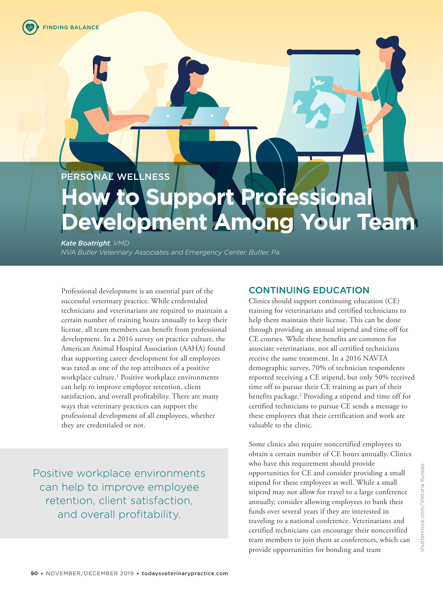PERSONAL WELLNESS

# **How to Support Professional Development Among Your Team**

*Kate Boatright, VMD* 

*NVA Butler Veterinary Associates and Emergency Center, Butler, Pa.*

Professional development is an essential part of the successful veterinary practice. While credentialed technicians and veterinarians are required to maintain a certain number of training hours annually to keep their license, all team members can benefit from professional development. In a 2016 survey on practice culture, the American Animal Hospital Association (AAHA) found that supporting career development for all employees was rated as one of the top attributes of a positive workplace culture.<sup>1</sup> Positive workplace environments can help to improve employee retention, client satisfaction, and overall profitability. There are many ways that veterinary practices can support the professional development of all employees, whether they are credentialed or not.

Positive workplace environments can help to improve employee retention, client satisfaction, and overall profitability.

## CONTINUING EDUCATION

Clinics should support continuing education (CE) training for veterinarians and certified technicians to help them maintain their license. This can be done through providing an annual stipend and time off for CE courses. While these benefits are common for associate veterinarians, not all certified technicians receive the same treatment. In a 2016 NAVTA demographic survey, 70% of technician respondents reported receiving a CE stipend, but only 50% received time off to pursue their CE training as part of their benefits package.<sup>2</sup> Providing a stipend and time off for certified technicians to pursue CE sends a message to these employees that their certification and work are valuable to the clinic.

Some clinics also require noncertified employees to obtain a certain number of CE hours annually. Clinics who have this requirement should provide opportunities for CE and consider providing a small stipend for these employees as well. While a small stipend may not allow for travel to a large conference annually, consider allowing employees to bank their funds over several years if they are interested in traveling to a national conference. Veterinarians and certified technicians can encourage their noncertified team members to join them at conferences, which can provide opportunities for bonding and team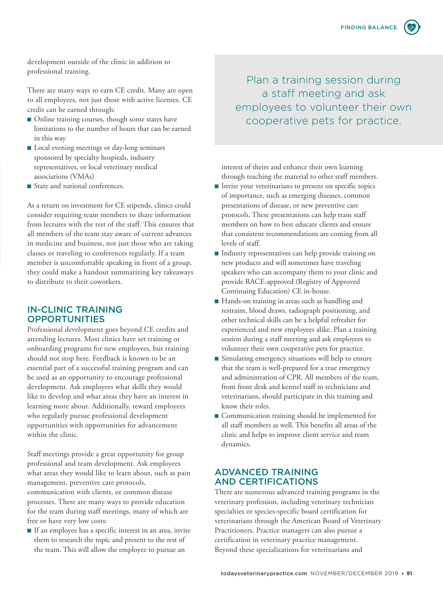development outside of the clinic in addition to professional training.

There are many ways to earn CE credit. Many are open to all employees, not just those with active licenses. CE credit can be earned through:

- Online training courses, though some states have limitations to the number of hours that can be earned in this way
- Local evening meetings or day-long seminars sponsored by specialty hospitals, industry representatives, or local veterinary medical associations (VMAs)
- State and national conferences.

As a return on investment for CE stipends, clinics could consider requiring team members to share information from lectures with the rest of the staff. This ensures that all members of the team stay aware of current advances in medicine and business, not just those who are taking classes or traveling to conferences regularly. If a team member is uncomfortable speaking in front of a group, they could make a handout summarizing key takeaways to distribute to their coworkers.

#### IN-CLINIC TRAINING **OPPORTUNITIES**

Professional development goes beyond CE credits and attending lectures. Most clinics have set training or onboarding programs for new employees, but training should not stop here. Feedback is known to be an essential part of a successful training program and can be used as an opportunity to encourage professional development. Ask employees what skills they would like to develop and what areas they have an interest in learning more about. Additionally, reward employees who regularly pursue professional development opportunities with opportunities for advancement within the clinic.

Staff meetings provide a great opportunity for group professional and team development. Ask employees what areas they would like to learn about, such as pain management, preventive care protocols, communication with clients, or common disease processes. There are many ways to provide education for the team during staff meetings, many of which are free or have very low costs:

■ If an employee has a specific interest in an area, invite them to research the topic and present to the rest of the team. This will allow the employee to pursue an

Plan a training session during a staff meeting and ask employees to volunteer their own cooperative pets for practice.

interest of theirs and enhance their own learning through teaching the material to other staff members.

- Invite your veterinarians to present on specific topics of importance, such as emerging diseases, common presentations of disease, or new preventive care protocols. These presentations can help train staff members on how to best educate clients and ensure that consistent recommendations are coming from all levels of staff.
- Industry representatives can help provide training on new products and will sometimes have traveling speakers who can accompany them to your clinic and provide RACE-approved (Registry of Approved Continuing Education) CE in-house.
- Hands-on training in areas such as handling and restraint, blood draws, radiograph positioning, and other technical skills can be a helpful refresher for experienced and new employees alike. Plan a training session during a staff meeting and ask employees to volunteer their own cooperative pets for practice.
- Simulating emergency situations will help to ensure that the team is well-prepared for a true emergency and administration of CPR. All members of the team, from front desk and kennel staff to technicians and veterinarians, should participate in this training and know their roles.
- Communication training should be implemented for all staff members as well. This benefits all areas of the clinic and helps to improve client service and team dynamics.

### ADVANCED TRAINING AND CERTIFICATIONS

There are numerous advanced training programs in the veterinary profession, including veterinary technician specialties or species-specific board certification for veterinarians through the American Board of Veterinary Practitioners. Practice managers can also pursue a certification in veterinary practice management. Beyond these specializations for veterinarians and